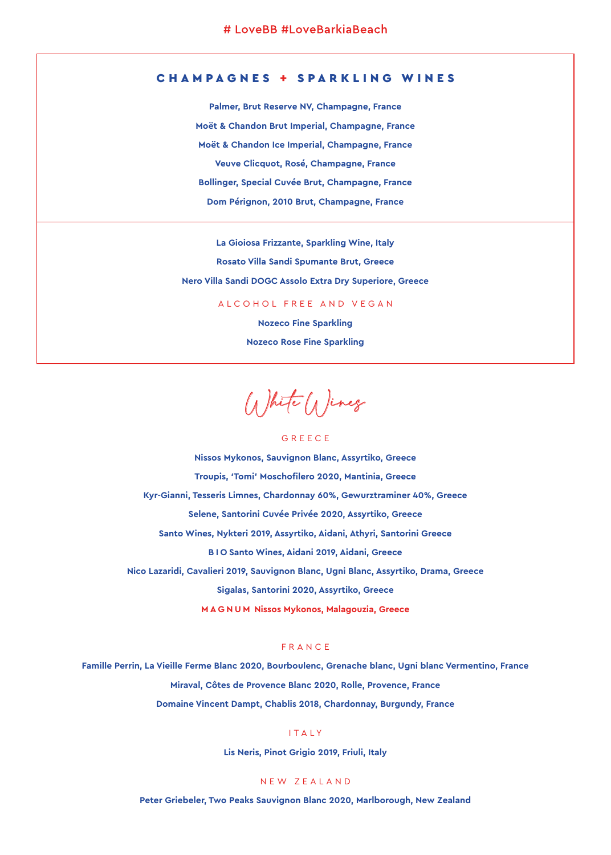# CHAMPAGNES + SPARKLING WINES

**Palmer, Brut Reserve NV, Champagne, France Moët & Chandon Brut Imperial, Champagne, France Moët & Chandon Ice Imperial, Champagne, France Veuve Clicquot, Rosé, Champagne, France Bollinger, Special Cuvée Brut, Champagne, France Dom Pérignon, 2010 Brut, Champagne, France**

**La Gioiosa Frizzante, Sparkling Wine, Italy Rosato Villa Sandi Spumante Brut, Greece Nero Villa Sandi DOGC Assolo Extra Dry Superiore, Greece**

### ALCOHOL FREE AND VEGAN

**Nozeco Fine Sparkling Nozeco Rose Fine Sparkling** 

White Wines

### GREECE

**Nissos Mykonos, Sauvignon Blanc, Assyrtiko, Greece Troupis, 'Tomi' Moschofilero 2020, Mantinia, Greece Kyr-Gianni, Tesseris Limnes, Chardonnay 60%, Gewurztraminer 40%, Greece Selene, Santorini Cuvée Privée 2020, Assyrtiko, Greece Santo Wines, Nykteri 2019, Assyrtiko, Aidani, Athyri, Santorini Greece BIO Santo Wines, Aidani 2019, Aidani, Greece Nico Lazaridi, Cavalieri 2019, Sauvignon Blanc, Ugni Blanc, Assyrtiko, Drama, Greece Sigalas, Santorini 2020, Assyrtiko, Greece MAGNUM Nissos Mykonos, Malagouzia, Greece**

## FRANCE

**Famille Perrin, La Vieille Ferme Blanc 2020, Bourboulenc, Grenache blanc, Ugni blanc Vermentino, France Miraval, Côtes de Provence Blanc 2020, Rolle, Provence, France Domaine Vincent Dampt, Chablis 2018, Chardonnay, Burgundy, France**

# ITALY

**Lis Neris, Pinot Grigio 2019, Friuli, Italy**

### NEW ZEALAND

**Peter Griebeler, Two Peaks Sauvignon Blanc 2020, Marlborough, New Zealand**